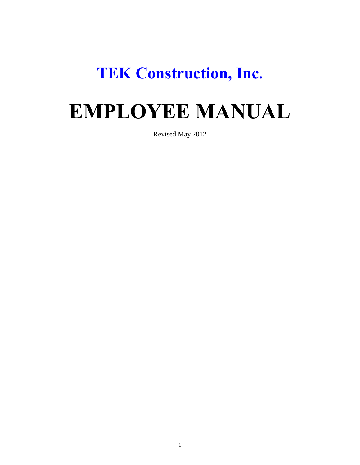# **TEK Construction, Inc.**

# **EMPLOYEE MANUAL**

Revised May 2012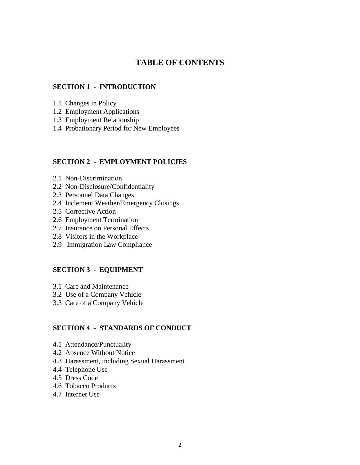# **TABLE OF CONTENTS**

#### **SECTION 1 - INTRODUCTION**

- 1.1 Changes in Policy
- 1.2 Employment Applications
- 1.3 Employment Relationship
- 1.4 Probationary Period for New Employees

#### **SECTION 2 - EMPLOYMENT POLICIES**

- 2.1 Non-Discrimination
- 2.2 Non-Disclosure/Confidentiality
- 2.3 Personnel Data Changes
- 2.4 Inclement Weather/Emergency Closings
- 2.5 Corrective Action
- 2.6 Employment Termination
- 2.7 Insurance on Personal Effects
- 2.8 Visitors in the Workplace
- 2.9 Immigration Law Compliance

#### **SECTION 3 - EQUIPMENT**

- 3.1 Care and Maintenance
- 3.2 Use of a Company Vehicle
- 3.3 Care of a Company Vehicle

### **SECTION 4 - STANDARDS OF CONDUCT**

- 4.1 Attendance/Punctuality
- 4.2 Absence Without Notice
- 4.3 Harassment, including Sexual Harassment
- 4.4 Telephone Use
- 4.5 Dress Code
- 4.6 Tobacco Products
- 4.7 Internet Use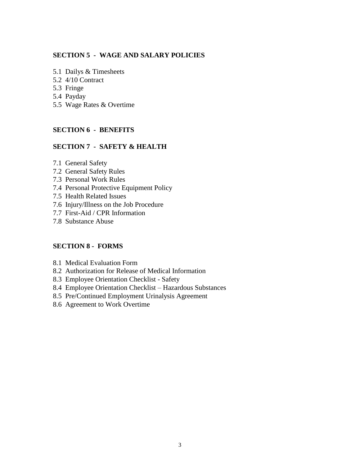#### **SECTION 5 - WAGE AND SALARY POLICIES**

- 5.1 Dailys & Timesheets
- 5.2 4/10 Contract
- 5.3 Fringe
- 5.4 Payday
- 5.5 Wage Rates & Overtime

#### **SECTION 6 - BENEFITS**

#### **SECTION 7 - SAFETY & HEALTH**

- 7.1 General Safety
- 7.2 General Safety Rules
- 7.3 Personal Work Rules
- 7.4 Personal Protective Equipment Policy
- 7.5 Health Related Issues
- 7.6 Injury/Illness on the Job Procedure
- 7.7 First-Aid / CPR Information
- 7.8 Substance Abuse

### **SECTION 8 - FORMS**

- 8.1 Medical Evaluation Form
- 8.2 Authorization for Release of Medical Information
- 8.3 Employee Orientation Checklist Safety
- 8.4 Employee Orientation Checklist Hazardous Substances
- 8.5 Pre/Continued Employment Urinalysis Agreement
- 8.6 Agreement to Work Overtime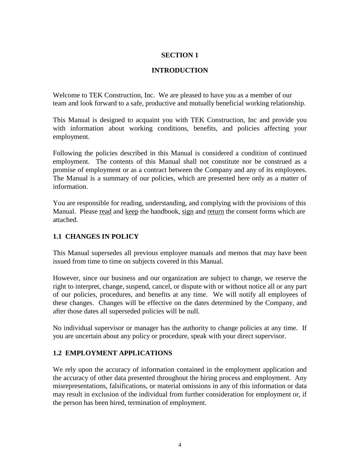# **INTRODUCTION**

Welcome to TEK Construction, Inc. We are pleased to have you as a member of our team and look forward to a safe, productive and mutually beneficial working relationship.

This Manual is designed to acquaint you with TEK Construction, Inc and provide you with information about working conditions, benefits, and policies affecting your employment.

Following the policies described in this Manual is considered a condition of continued employment. The contents of this Manual shall not constitute nor be construed as a promise of employment or as a contract between the Company and any of its employees. The Manual is a summary of our policies, which are presented here only as a matter of information.

You are responsible for reading, understanding, and complying with the provisions of this Manual. Please read and keep the handbook, sign and return the consent forms which are attached.

# **1.1 CHANGES IN POLICY**

This Manual supersedes all previous employee manuals and memos that may have been issued from time to time on subjects covered in this Manual.

However, since our business and our organization are subject to change, we reserve the right to interpret, change, suspend, cancel, or dispute with or without notice all or any part of our policies, procedures, and benefits at any time. We will notify all employees of these changes. Changes will be effective on the dates determined by the Company, and after those dates all superseded policies will be null.

No individual supervisor or manager has the authority to change policies at any time. If you are uncertain about any policy or procedure, speak with your direct supervisor.

# **1.2 EMPLOYMENT APPLICATIONS**

We rely upon the accuracy of information contained in the employment application and the accuracy of other data presented throughout the hiring process and employment. Any misrepresentations, falsifications, or material omissions in any of this information or data may result in exclusion of the individual from further consideration for employment or, if the person has been hired, termination of employment.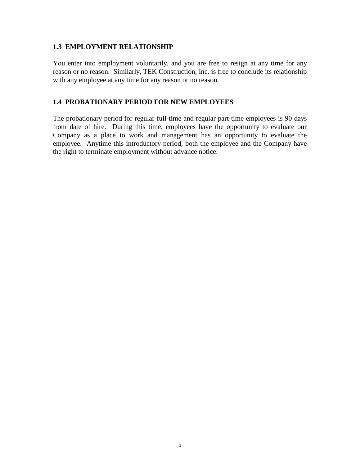#### **1.3 EMPLOYMENT RELATIONSHIP**

You enter into employment voluntarily, and you are free to resign at any time for any reason or no reason. Similarly, TEK Construction, Inc. is free to conclude its relationship with any employee at any time for any reason or no reason.

### **1.4 PROBATIONARY PERIOD FOR NEW EMPLOYEES**

The probationary period for regular full-time and regular part-time employees is 90 days from date of hire. During this time, employees have the opportunity to evaluate our Company as a place to work and management has an opportunity to evaluate the employee. Anytime this introductory period, both the employee and the Company have the right to terminate employment without advance notice.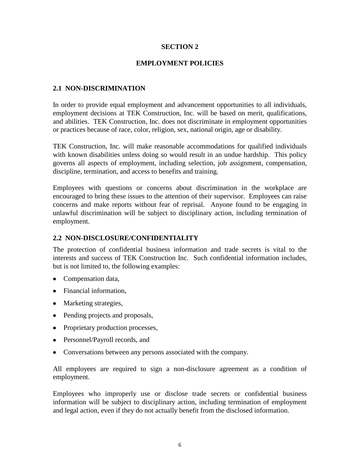#### **EMPLOYMENT POLICIES**

#### **2.1 NON-DISCRIMINATION**

In order to provide equal employment and advancement opportunities to all individuals, employment decisions at TEK Construction, Inc. will be based on merit, qualifications, and abilities. TEK Construction, Inc. does not discriminate in employment opportunities or practices because of race, color, religion, sex, national origin, age or disability.

TEK Construction, Inc. will make reasonable accommodations for qualified individuals with known disabilities unless doing so would result in an undue hardship. This policy governs all aspects of employment, including selection, job assignment, compensation, discipline, termination, and access to benefits and training.

Employees with questions or concerns about discrimination in the workplace are encouraged to bring these issues to the attention of their supervisor. Employees can raise concerns and make reports without fear of reprisal. Anyone found to be engaging in unlawful discrimination will be subject to disciplinary action, including termination of employment.

#### **2.2 NON-DISCLOSURE/CONFIDENTIALITY**

The protection of confidential business information and trade secrets is vital to the interests and success of TEK Construction Inc. Such confidential information includes, but is not limited to, the following examples:

- Compensation data,
- Financial information,
- Marketing strategies,
- Pending projects and proposals,
- Proprietary production processes,
- Personnel/Payroll records, and
- Conversations between any persons associated with the company.

All employees are required to sign a non-disclosure agreement as a condition of employment.

Employees who improperly use or disclose trade secrets or confidential business information will be subject to disciplinary action, including termination of employment and legal action, even if they do not actually benefit from the disclosed information.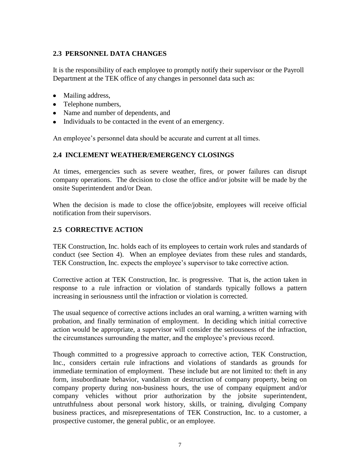# **2.3 PERSONNEL DATA CHANGES**

It is the responsibility of each employee to promptly notify their supervisor or the Payroll Department at the TEK office of any changes in personnel data such as:

- Mailing address,
- Telephone numbers,
- Name and number of dependents, and
- Individuals to be contacted in the event of an emergency.

An employee's personnel data should be accurate and current at all times.

# **2.4 INCLEMENT WEATHER/EMERGENCY CLOSINGS**

At times, emergencies such as severe weather, fires, or power failures can disrupt company operations. The decision to close the office and/or jobsite will be made by the onsite Superintendent and/or Dean.

When the decision is made to close the office/jobsite, employees will receive official notification from their supervisors.

# **2.5 CORRECTIVE ACTION**

TEK Construction, Inc. holds each of its employees to certain work rules and standards of conduct (see Section 4). When an employee deviates from these rules and standards, TEK Construction, Inc. expects the employee"s supervisor to take corrective action.

Corrective action at TEK Construction, Inc. is progressive. That is, the action taken in response to a rule infraction or violation of standards typically follows a pattern increasing in seriousness until the infraction or violation is corrected.

The usual sequence of corrective actions includes an oral warning, a written warning with probation, and finally termination of employment. In deciding which initial corrective action would be appropriate, a supervisor will consider the seriousness of the infraction, the circumstances surrounding the matter, and the employee"s previous record.

Though committed to a progressive approach to corrective action, TEK Construction, Inc., considers certain rule infractions and violations of standards as grounds for immediate termination of employment. These include but are not limited to: theft in any form, insubordinate behavior, vandalism or destruction of company property, being on company property during non-business hours, the use of company equipment and/or company vehicles without prior authorization by the jobsite superintendent, untruthfulness about personal work history, skills, or training, divulging Company business practices, and misrepresentations of TEK Construction, Inc. to a customer, a prospective customer, the general public, or an employee.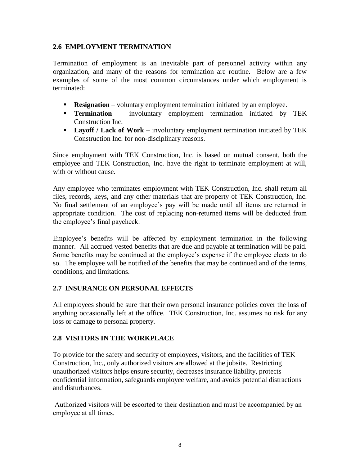### **2.6 EMPLOYMENT TERMINATION**

Termination of employment is an inevitable part of personnel activity within any organization, and many of the reasons for termination are routine. Below are a few examples of some of the most common circumstances under which employment is terminated:

- **Resignation** voluntary employment termination initiated by an employee.
- **Termination**  involuntary employment termination initiated by TEK Construction Inc.
- **Layoff / Lack of Work** involuntary employment termination initiated by TEK Construction Inc. for non-disciplinary reasons.

Since employment with TEK Construction, Inc. is based on mutual consent, both the employee and TEK Construction, Inc. have the right to terminate employment at will, with or without cause.

Any employee who terminates employment with TEK Construction, Inc. shall return all files, records, keys, and any other materials that are property of TEK Construction, Inc. No final settlement of an employee"s pay will be made until all items are returned in appropriate condition. The cost of replacing non-returned items will be deducted from the employee"s final paycheck.

Employee's benefits will be affected by employment termination in the following manner. All accrued vested benefits that are due and payable at termination will be paid. Some benefits may be continued at the employee's expense if the employee elects to do so. The employee will be notified of the benefits that may be continued and of the terms, conditions, and limitations.

# **2.7 INSURANCE ON PERSONAL EFFECTS**

All employees should be sure that their own personal insurance policies cover the loss of anything occasionally left at the office. TEK Construction, Inc. assumes no risk for any loss or damage to personal property.

# **2.8 VISITORS IN THE WORKPLACE**

To provide for the safety and security of employees, visitors, and the facilities of TEK Construction, Inc., only authorized visitors are allowed at the jobsite. Restricting unauthorized visitors helps ensure security, decreases insurance liability, protects confidential information, safeguards employee welfare, and avoids potential distractions and disturbances.

Authorized visitors will be escorted to their destination and must be accompanied by an employee at all times.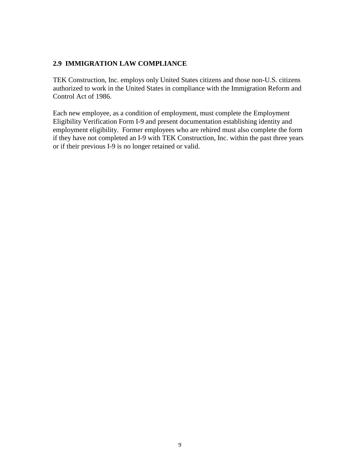# **2.9 IMMIGRATION LAW COMPLIANCE**

TEK Construction, Inc. employs only United States citizens and those non-U.S. citizens authorized to work in the United States in compliance with the Immigration Reform and Control Act of 1986.

Each new employee, as a condition of employment, must complete the Employment Eligibility Verification Form I-9 and present documentation establishing identity and employment eligibility. Former employees who are rehired must also complete the form if they have not completed an I-9 with TEK Construction, Inc. within the past three years or if their previous I-9 is no longer retained or valid.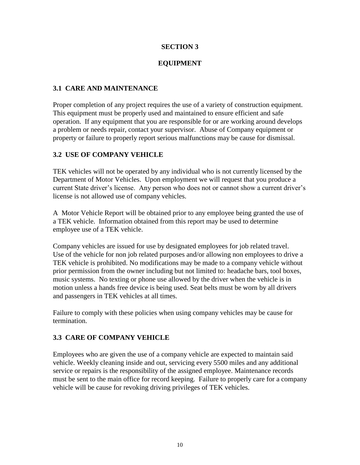# **EQUIPMENT**

# **3.1 CARE AND MAINTENANCE**

Proper completion of any project requires the use of a variety of construction equipment. This equipment must be properly used and maintained to ensure efficient and safe operation. If any equipment that you are responsible for or are working around develops a problem or needs repair, contact your supervisor. Abuse of Company equipment or property or failure to properly report serious malfunctions may be cause for dismissal.

# **3.2 USE OF COMPANY VEHICLE**

TEK vehicles will not be operated by any individual who is not currently licensed by the Department of Motor Vehicles. Upon employment we will request that you produce a current State driver"s license. Any person who does not or cannot show a current driver"s license is not allowed use of company vehicles.

A Motor Vehicle Report will be obtained prior to any employee being granted the use of a TEK vehicle. Information obtained from this report may be used to determine employee use of a TEK vehicle.

Company vehicles are issued for use by designated employees for job related travel. Use of the vehicle for non job related purposes and/or allowing non employees to drive a TEK vehicle is prohibited. No modifications may be made to a company vehicle without prior permission from the owner including but not limited to: headache bars, tool boxes, music systems. No texting or phone use allowed by the driver when the vehicle is in motion unless a hands free device is being used. Seat belts must be worn by all drivers and passengers in TEK vehicles at all times.

Failure to comply with these policies when using company vehicles may be cause for termination.

# **3.3 CARE OF COMPANY VEHICLE**

Employees who are given the use of a company vehicle are expected to maintain said vehicle. Weekly cleaning inside and out, servicing every 5500 miles and any additional service or repairs is the responsibility of the assigned employee. Maintenance records must be sent to the main office for record keeping. Failure to properly care for a company vehicle will be cause for revoking driving privileges of TEK vehicles.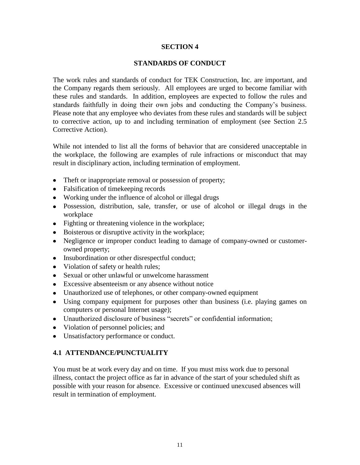#### **STANDARDS OF CONDUCT**

The work rules and standards of conduct for TEK Construction, Inc. are important, and the Company regards them seriously. All employees are urged to become familiar with these rules and standards. In addition, employees are expected to follow the rules and standards faithfully in doing their own jobs and conducting the Company"s business. Please note that any employee who deviates from these rules and standards will be subject to corrective action, up to and including termination of employment (see Section 2.5 Corrective Action).

While not intended to list all the forms of behavior that are considered unacceptable in the workplace, the following are examples of rule infractions or misconduct that may result in disciplinary action, including termination of employment.

- Theft or inappropriate removal or possession of property;
- Falsification of timekeeping records
- Working under the influence of alcohol or illegal drugs
- Possession, distribution, sale, transfer, or use of alcohol or illegal drugs in the workplace
- Fighting or threatening violence in the workplace;
- Boisterous or disruptive activity in the workplace;
- Negligence or improper conduct leading to damage of company-owned or customerowned property;
- Insubordination or other disrespectful conduct;
- Violation of safety or health rules;
- Sexual or other unlawful or unwelcome harassment
- Excessive absenteeism or any absence without notice
- Unauthorized use of telephones, or other company-owned equipment
- Using company equipment for purposes other than business (i.e. playing games on computers or personal Internet usage);
- Unauthorized disclosure of business "secrets" or confidential information;
- Violation of personnel policies; and
- Unsatisfactory performance or conduct.

# **4.1 ATTENDANCE/PUNCTUALITY**

You must be at work every day and on time. If you must miss work due to personal illness, contact the project office as far in advance of the start of your scheduled shift as possible with your reason for absence. Excessive or continued unexcused absences will result in termination of employment.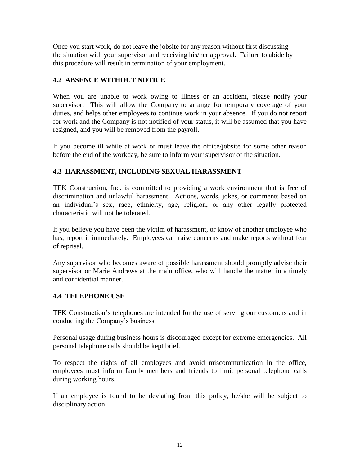Once you start work, do not leave the jobsite for any reason without first discussing the situation with your supervisor and receiving his/her approval. Failure to abide by this procedure will result in termination of your employment.

# **4.2 ABSENCE WITHOUT NOTICE**

When you are unable to work owing to illness or an accident, please notify your supervisor. This will allow the Company to arrange for temporary coverage of your duties, and helps other employees to continue work in your absence. If you do not report for work and the Company is not notified of your status, it will be assumed that you have resigned, and you will be removed from the payroll.

If you become ill while at work or must leave the office/jobsite for some other reason before the end of the workday, be sure to inform your supervisor of the situation.

# **4.3 HARASSMENT, INCLUDING SEXUAL HARASSMENT**

TEK Construction, Inc. is committed to providing a work environment that is free of discrimination and unlawful harassment. Actions, words, jokes, or comments based on an individual"s sex, race, ethnicity, age, religion, or any other legally protected characteristic will not be tolerated.

If you believe you have been the victim of harassment, or know of another employee who has, report it immediately. Employees can raise concerns and make reports without fear of reprisal.

Any supervisor who becomes aware of possible harassment should promptly advise their supervisor or Marie Andrews at the main office, who will handle the matter in a timely and confidential manner.

# **4.4 TELEPHONE USE**

TEK Construction's telephones are intended for the use of serving our customers and in conducting the Company"s business.

Personal usage during business hours is discouraged except for extreme emergencies. All personal telephone calls should be kept brief.

To respect the rights of all employees and avoid miscommunication in the office, employees must inform family members and friends to limit personal telephone calls during working hours.

If an employee is found to be deviating from this policy, he/she will be subject to disciplinary action.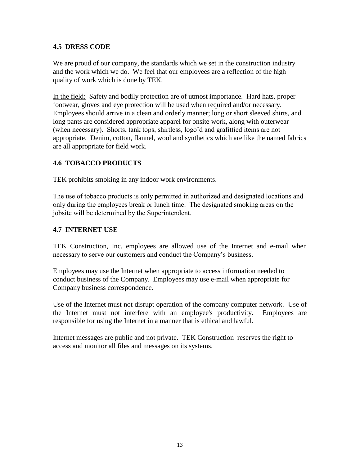# **4.5 DRESS CODE**

We are proud of our company, the standards which we set in the construction industry and the work which we do. We feel that our employees are a reflection of the high quality of work which is done by TEK.

In the field: Safety and bodily protection are of utmost importance. Hard hats, proper footwear, gloves and eye protection will be used when required and/or necessary. Employees should arrive in a clean and orderly manner; long or short sleeved shirts, and long pants are considered appropriate apparel for onsite work, along with outerwear (when necessary). Shorts, tank tops, shirtless, logo"d and grafittied items are not appropriate. Denim, cotton, flannel, wool and synthetics which are like the named fabrics are all appropriate for field work.

# **4.6 TOBACCO PRODUCTS**

TEK prohibits smoking in any indoor work environments.

The use of tobacco products is only permitted in authorized and designated locations and only during the employees break or lunch time. The designated smoking areas on the jobsite will be determined by the Superintendent.

### **4.7 INTERNET USE**

TEK Construction, Inc. employees are allowed use of the Internet and e-mail when necessary to serve our customers and conduct the Company"s business.

Employees may use the Internet when appropriate to access information needed to conduct business of the Company. Employees may use e-mail when appropriate for Company business correspondence.

Use of the Internet must not disrupt operation of the company computer network. Use of the Internet must not interfere with an employee's productivity. Employees are responsible for using the Internet in a manner that is ethical and lawful.

Internet messages are public and not private. TEK Construction reserves the right to access and monitor all files and messages on its systems.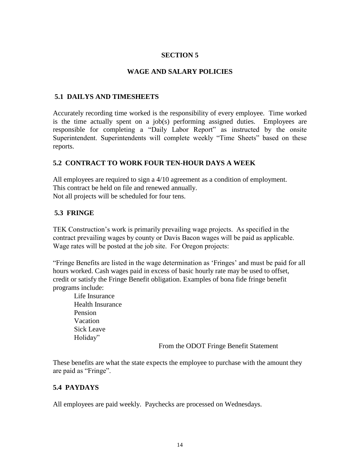#### **WAGE AND SALARY POLICIES**

#### **5.1 DAILYS AND TIMESHEETS**

Accurately recording time worked is the responsibility of every employee. Time worked is the time actually spent on a job(s) performing assigned duties. Employees are responsible for completing a "Daily Labor Report" as instructed by the onsite Superintendent. Superintendents will complete weekly "Time Sheets" based on these reports.

# **5.2 CONTRACT TO WORK FOUR TEN-HOUR DAYS A WEEK**

All employees are required to sign a 4/10 agreement as a condition of employment. This contract be held on file and renewed annually. Not all projects will be scheduled for four tens.

#### **5.3 FRINGE**

TEK Construction's work is primarily prevailing wage projects. As specified in the contract prevailing wages by county or Davis Bacon wages will be paid as applicable. Wage rates will be posted at the job site. For Oregon projects:

"Fringe Benefits are listed in the wage determination as "Fringes" and must be paid for all hours worked. Cash wages paid in excess of basic hourly rate may be used to offset, credit or satisfy the Fringe Benefit obligation. Examples of bona fide fringe benefit programs include:

Life Insurance Health Insurance Pension Vacation Sick Leave Holiday"

From the ODOT Fringe Benefit Statement

These benefits are what the state expects the employee to purchase with the amount they are paid as "Fringe".

# **5.4 PAYDAYS**

All employees are paid weekly. Paychecks are processed on Wednesdays.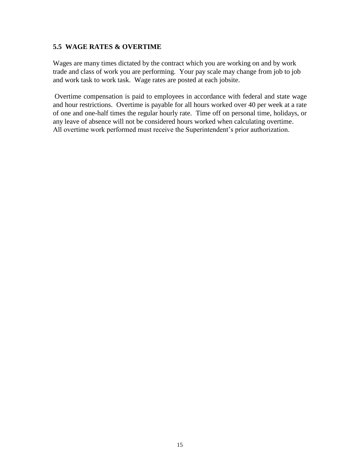#### **5.5 WAGE RATES & OVERTIME**

Wages are many times dictated by the contract which you are working on and by work trade and class of work you are performing. Your pay scale may change from job to job and work task to work task. Wage rates are posted at each jobsite.

Overtime compensation is paid to employees in accordance with federal and state wage and hour restrictions. Overtime is payable for all hours worked over 40 per week at a rate of one and one-half times the regular hourly rate. Time off on personal time, holidays, or any leave of absence will not be considered hours worked when calculating overtime. All overtime work performed must receive the Superintendent's prior authorization.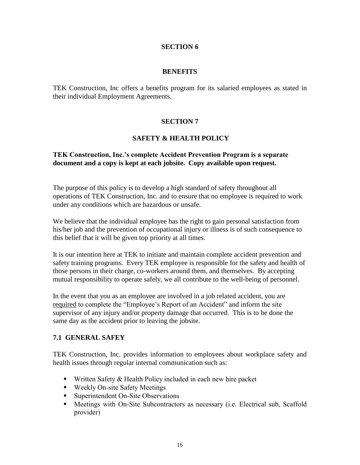#### **BENEFITS**

TEK Construction, Inc offers a benefits program for its salaried employees as stated in their individual Employment Agreements.

# **SECTION 7**

# **SAFETY & HEALTH POLICY**

### **TEK Construction, Inc.'s complete Accident Prevention Program is a separate document and a copy is kept at each jobsite. Copy available upon request.**

The purpose of this policy is to develop a high standard of safety throughout all operations of TEK Construction, Inc. and to ensure that no employee is required to work under any conditions which are hazardous or unsafe.

We believe that the individual employee has the right to gain personal satisfaction from his/her job and the prevention of occupational injury or illness is of such consequence to this belief that it will be given top priority at all times.

It is our intention here at TEK to initiate and maintain complete accident prevention and safety training programs. Every TEK employee is responsible for the safety and health of those persons in their charge, co-workers around them, and themselves. By accepting mutual responsibility to operate safely, we all contribute to the well-being of personnel.

In the event that you as an employee are involved in a job related accident, you are required to complete the "Employee"s Report of an Accident" and inform the site supervisor of any injury and/or property damage that occurred. This is to be done the same day as the accident prior to leaving the jobsite.

# **7.1 GENERAL SAFEY**

TEK Construction, Inc. provides information to employees about workplace safety and health issues through regular internal communication such as:

- Written Safety  $&$  Health Policy included in each new hire packet
- Weekly On-site Safety Meetings
- Superintendent On-Site Observations
- Meetings with On-Site Subcontractors as necessary (i.e. Electrical sub, Scaffold provider)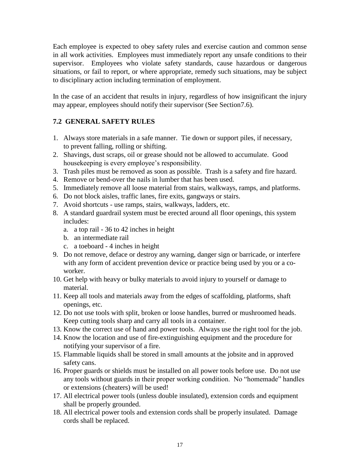Each employee is expected to obey safety rules and exercise caution and common sense in all work activities. Employees must immediately report any unsafe conditions to their supervisor. Employees who violate safety standards, cause hazardous or dangerous situations, or fail to report, or where appropriate, remedy such situations, may be subject to disciplinary action including termination of employment.

In the case of an accident that results in injury, regardless of how insignificant the injury may appear, employees should notify their supervisor (See Section7.6).

# **7.2 GENERAL SAFETY RULES**

- 1. Always store materials in a safe manner. Tie down or support piles, if necessary, to prevent falling, rolling or shifting.
- 2. Shavings, dust scraps, oil or grease should not be allowed to accumulate. Good housekeeping is every employee's responsibility.
- 3. Trash piles must be removed as soon as possible. Trash is a safety and fire hazard.
- 4. Remove or bend-over the nails in lumber that has been used.
- 5. Immediately remove all loose material from stairs, walkways, ramps, and platforms.
- 6. Do not block aisles, traffic lanes, fire exits, gangways or stairs.
- 7. Avoid shortcuts use ramps, stairs, walkways, ladders, etc.
- 8. A standard guardrail system must be erected around all floor openings, this system includes:
	- a. a top rail 36 to 42 inches in height
	- b. an intermediate rail
	- c. a toeboard 4 inches in height
- 9. Do not remove, deface or destroy any warning, danger sign or barricade, or interfere with any form of accident prevention device or practice being used by you or a coworker.
- 10. Get help with heavy or bulky materials to avoid injury to yourself or damage to material.
- 11. Keep all tools and materials away from the edges of scaffolding, platforms, shaft openings, etc.
- 12. Do not use tools with split, broken or loose handles, burred or mushroomed heads. Keep cutting tools sharp and carry all tools in a container.
- 13. Know the correct use of hand and power tools. Always use the right tool for the job.
- 14. Know the location and use of fire-extinguishing equipment and the procedure for notifying your supervisor of a fire.
- 15. Flammable liquids shall be stored in small amounts at the jobsite and in approved safety cans.
- 16. Proper guards or shields must be installed on all power tools before use. Do not use any tools without guards in their proper working condition. No "homemade" handles or extensions (cheaters) will be used!
- 17. All electrical power tools (unless double insulated), extension cords and equipment shall be properly grounded.
- 18. All electrical power tools and extension cords shall be properly insulated. Damage cords shall be replaced.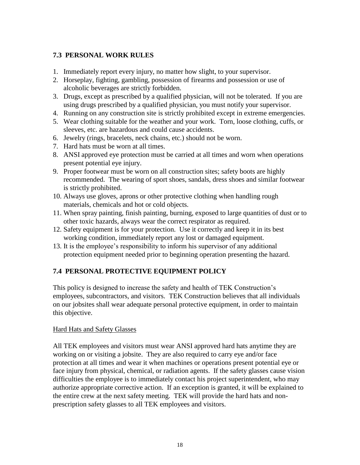# **7.3 PERSONAL WORK RULES**

- 1. Immediately report every injury, no matter how slight, to your supervisor.
- 2. Horseplay, fighting, gambling, possession of firearms and possession or use of alcoholic beverages are strictly forbidden.
- 3. Drugs, except as prescribed by a qualified physician, will not be tolerated. If you are using drugs prescribed by a qualified physician, you must notify your supervisor.
- 4. Running on any construction site is strictly prohibited except in extreme emergencies.
- 5. Wear clothing suitable for the weather and your work. Torn, loose clothing, cuffs, or sleeves, etc. are hazardous and could cause accidents.
- 6. Jewelry (rings, bracelets, neck chains, etc.) should not be worn.
- 7. Hard hats must be worn at all times.
- 8. ANSI approved eye protection must be carried at all times and worn when operations present potential eye injury.
- 9. Proper footwear must be worn on all construction sites; safety boots are highly recommended. The wearing of sport shoes, sandals, dress shoes and similar footwear is strictly prohibited.
- 10. Always use gloves, aprons or other protective clothing when handling rough materials, chemicals and hot or cold objects.
- 11. When spray painting, finish painting, burning, exposed to large quantities of dust or to other toxic hazards, always wear the correct respirator as required.
- 12. Safety equipment is for your protection. Use it correctly and keep it in its best working condition, immediately report any lost or damaged equipment.
- 13. It is the employee"s responsibility to inform his supervisor of any additional protection equipment needed prior to beginning operation presenting the hazard.

# **7.4 PERSONAL PROTECTIVE EQUIPMENT POLICY**

This policy is designed to increase the safety and health of TEK Construction"s employees, subcontractors, and visitors. TEK Construction believes that all individuals on our jobsites shall wear adequate personal protective equipment, in order to maintain this objective.

# Hard Hats and Safety Glasses

All TEK employees and visitors must wear ANSI approved hard hats anytime they are working on or visiting a jobsite. They are also required to carry eye and/or face protection at all times and wear it when machines or operations present potential eye or face injury from physical, chemical, or radiation agents. If the safety glasses cause vision difficulties the employee is to immediately contact his project superintendent, who may authorize appropriate corrective action. If an exception is granted, it will be explained to the entire crew at the next safety meeting. TEK will provide the hard hats and nonprescription safety glasses to all TEK employees and visitors.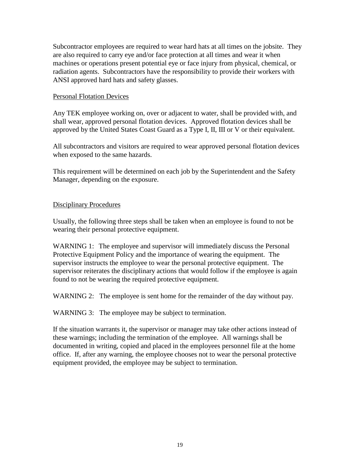Subcontractor employees are required to wear hard hats at all times on the jobsite. They are also required to carry eye and/or face protection at all times and wear it when machines or operations present potential eye or face injury from physical, chemical, or radiation agents. Subcontractors have the responsibility to provide their workers with ANSI approved hard hats and safety glasses.

#### Personal Flotation Devices

Any TEK employee working on, over or adjacent to water, shall be provided with, and shall wear, approved personal flotation devices. Approved flotation devices shall be approved by the United States Coast Guard as a Type I, II, III or V or their equivalent.

All subcontractors and visitors are required to wear approved personal flotation devices when exposed to the same hazards.

This requirement will be determined on each job by the Superintendent and the Safety Manager, depending on the exposure.

#### Disciplinary Procedures

Usually, the following three steps shall be taken when an employee is found to not be wearing their personal protective equipment.

WARNING 1: The employee and supervisor will immediately discuss the Personal Protective Equipment Policy and the importance of wearing the equipment. The supervisor instructs the employee to wear the personal protective equipment. The supervisor reiterates the disciplinary actions that would follow if the employee is again found to not be wearing the required protective equipment.

WARNING 2: The employee is sent home for the remainder of the day without pay.

WARNING 3: The employee may be subject to termination.

If the situation warrants it, the supervisor or manager may take other actions instead of these warnings; including the termination of the employee. All warnings shall be documented in writing, copied and placed in the employees personnel file at the home office. If, after any warning, the employee chooses not to wear the personal protective equipment provided, the employee may be subject to termination.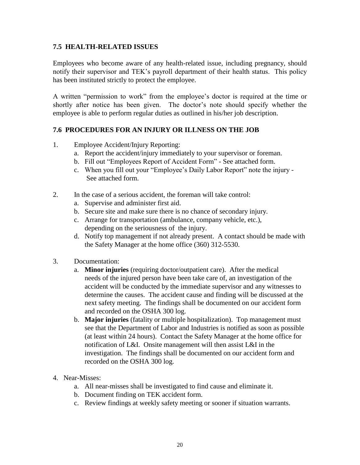### **7.5 HEALTH-RELATED ISSUES**

Employees who become aware of any health-related issue, including pregnancy, should notify their supervisor and TEK"s payroll department of their health status. This policy has been instituted strictly to protect the employee.

A written "permission to work" from the employee"s doctor is required at the time or shortly after notice has been given. The doctor's note should specify whether the employee is able to perform regular duties as outlined in his/her job description.

# **7.6 PROCEDURES FOR AN INJURY OR ILLNESS ON THE JOB**

- 1. Employee Accident/Injury Reporting:
	- a. Report the accident/injury immediately to your supervisor or foreman.
	- b. Fill out "Employees Report of Accident Form" See attached form.
	- c. When you fill out your "Employee"s Daily Labor Report" note the injury See attached form.
- 2. In the case of a serious accident, the foreman will take control:
	- a. Supervise and administer first aid.
	- b. Secure site and make sure there is no chance of secondary injury.
	- c. Arrange for transportation (ambulance, company vehicle, etc.), depending on the seriousness of the injury.
	- d. Notify top management if not already present. A contact should be made with the Safety Manager at the home office (360) 312-5530.
- 3. Documentation:
	- a. **Minor injuries** (requiring doctor/outpatient care). After the medical needs of the injured person have been take care of, an investigation of the accident will be conducted by the immediate supervisor and any witnesses to determine the causes. The accident cause and finding will be discussed at the next safety meeting. The findings shall be documented on our accident form and recorded on the OSHA 300 log.
	- b. **Major injuries** (fatality or multiple hospitalization). Top management must see that the Department of Labor and Industries is notified as soon as possible (at least within 24 hours). Contact the Safety Manager at the home office for notification of L&I. Onsite management will then assist L&I in the investigation. The findings shall be documented on our accident form and recorded on the OSHA 300 log.
- 4. Near-Misses:
	- a. All near-misses shall be investigated to find cause and eliminate it.
	- b. Document finding on TEK accident form.
	- c. Review findings at weekly safety meeting or sooner if situation warrants.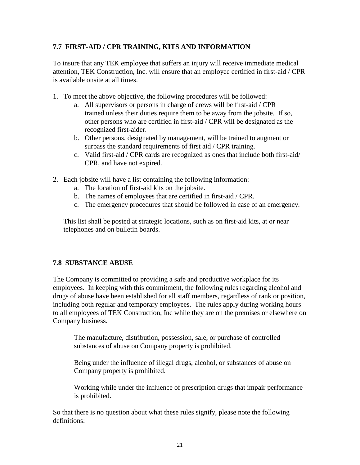# **7.7 FIRST-AID / CPR TRAINING, KITS AND INFORMATION**

To insure that any TEK employee that suffers an injury will receive immediate medical attention, TEK Construction, Inc. will ensure that an employee certified in first-aid / CPR is available onsite at all times.

- 1. To meet the above objective, the following procedures will be followed:
	- a. All supervisors or persons in charge of crews will be first-aid / CPR trained unless their duties require them to be away from the jobsite. If so, other persons who are certified in first-aid / CPR will be designated as the recognized first-aider.
	- b. Other persons, designated by management, will be trained to augment or surpass the standard requirements of first aid / CPR training.
	- c. Valid first-aid / CPR cards are recognized as ones that include both first-aid/ CPR, and have not expired.
- 2. Each jobsite will have a list containing the following information:
	- a. The location of first-aid kits on the jobsite.
	- b. The names of employees that are certified in first-aid / CPR.
	- c. The emergency procedures that should be followed in case of an emergency.

 This list shall be posted at strategic locations, such as on first-aid kits, at or near telephones and on bulletin boards.

# **7.8 SUBSTANCE ABUSE**

The Company is committed to providing a safe and productive workplace for its employees. In keeping with this commitment, the following rules regarding alcohol and drugs of abuse have been established for all staff members, regardless of rank or position, including both regular and temporary employees. The rules apply during working hours to all employees of TEK Construction, Inc while they are on the premises or elsewhere on Company business.

The manufacture, distribution, possession, sale, or purchase of controlled substances of abuse on Company property is prohibited.

Being under the influence of illegal drugs, alcohol, or substances of abuse on Company property is prohibited.

Working while under the influence of prescription drugs that impair performance is prohibited.

So that there is no question about what these rules signify, please note the following definitions: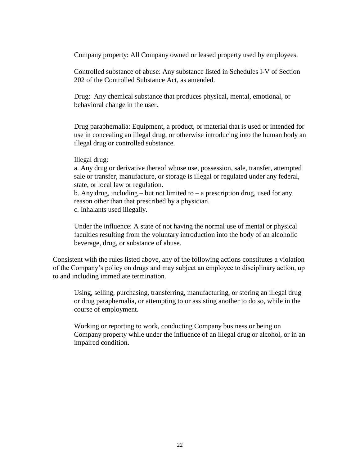Company property: All Company owned or leased property used by employees.

Controlled substance of abuse: Any substance listed in Schedules I-V of Section 202 of the Controlled Substance Act, as amended.

Drug: Any chemical substance that produces physical, mental, emotional, or behavioral change in the user.

Drug paraphernalia: Equipment, a product, or material that is used or intended for use in concealing an illegal drug, or otherwise introducing into the human body an illegal drug or controlled substance.

#### Illegal drug:

a. Any drug or derivative thereof whose use, possession, sale, transfer, attempted sale or transfer, manufacture, or storage is illegal or regulated under any federal, state, or local law or regulation.

b. Any drug, including – but not limited to – a prescription drug, used for any reason other than that prescribed by a physician. c. Inhalants used illegally.

Under the influence: A state of not having the normal use of mental or physical faculties resulting from the voluntary introduction into the body of an alcoholic beverage, drug, or substance of abuse.

Consistent with the rules listed above, any of the following actions constitutes a violation of the Company"s policy on drugs and may subject an employee to disciplinary action, up to and including immediate termination.

Using, selling, purchasing, transferring, manufacturing, or storing an illegal drug or drug paraphernalia, or attempting to or assisting another to do so, while in the course of employment.

Working or reporting to work, conducting Company business or being on Company property while under the influence of an illegal drug or alcohol, or in an impaired condition.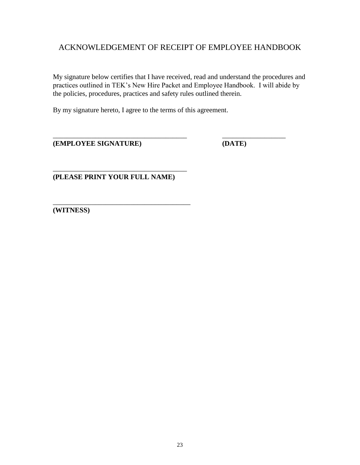# ACKNOWLEDGEMENT OF RECEIPT OF EMPLOYEE HANDBOOK

My signature below certifies that I have received, read and understand the procedures and practices outlined in TEK"s New Hire Packet and Employee Handbook. I will abide by the policies, procedures, practices and safety rules outlined therein.

\_\_\_\_\_\_\_\_\_\_\_\_\_\_\_\_\_\_\_\_\_\_\_\_\_\_\_\_\_\_\_\_\_\_\_\_\_\_ \_\_\_\_\_\_\_\_\_\_\_\_\_\_\_\_\_\_

By my signature hereto, I agree to the terms of this agreement.

**(EMPLOYEE SIGNATURE) (DATE)**

**(PLEASE PRINT YOUR FULL NAME)**

\_\_\_\_\_\_\_\_\_\_\_\_\_\_\_\_\_\_\_\_\_\_\_\_\_\_\_\_\_\_\_\_\_\_\_\_\_\_

\_\_\_\_\_\_\_\_\_\_\_\_\_\_\_\_\_\_\_\_\_\_\_\_\_\_\_\_\_\_\_\_\_\_\_\_\_\_\_ **(WITNESS)**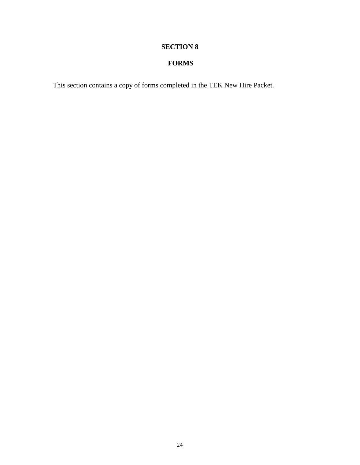# **FORMS**

This section contains a copy of forms completed in the TEK New Hire Packet.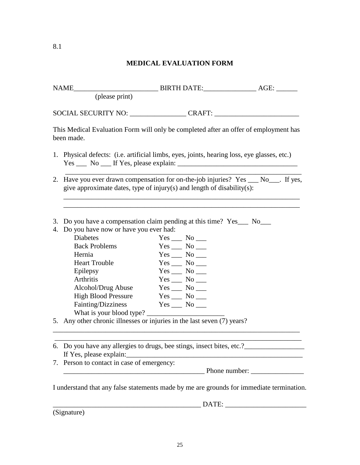# **MEDICAL EVALUATION FORM**

| This Medical Evaluation Form will only be completed after an offer of employment has<br>been made.                 |                                                                                                                                                              |                    |                    |               |  |
|--------------------------------------------------------------------------------------------------------------------|--------------------------------------------------------------------------------------------------------------------------------------------------------------|--------------------|--------------------|---------------|--|
|                                                                                                                    | 1. Physical defects: (i.e. artificial limbs, eyes, joints, hearing loss, eye glasses, etc.)                                                                  |                    |                    |               |  |
|                                                                                                                    | 2. Have you ever drawn compensation for on-the-job injuries? Yes __ No___. If yes,<br>give approximate dates, type of injury(s) and length of disability(s): |                    |                    |               |  |
| 3. Do you have a compensation claim pending at this time? Yes___ No___<br>4. Do you have now or have you ever had: |                                                                                                                                                              |                    |                    |               |  |
|                                                                                                                    | <b>Diabetes</b>                                                                                                                                              |                    | $Yes$ No ______    |               |  |
|                                                                                                                    | <b>Back Problems</b>                                                                                                                                         |                    | $Yes \_\_ No \_\_$ |               |  |
|                                                                                                                    | Hernia                                                                                                                                                       |                    | $Yes \_\_ No \_\_$ |               |  |
|                                                                                                                    | <b>Heart Trouble</b>                                                                                                                                         |                    | $Yes$ No ______    |               |  |
|                                                                                                                    | Epilepsy                                                                                                                                                     |                    | $Yes \_\_ No \_\_$ |               |  |
|                                                                                                                    | <b>Arthritis</b>                                                                                                                                             |                    | $Yes$ No ______    |               |  |
|                                                                                                                    | Alcohol/Drug Abuse Yes __ No __                                                                                                                              |                    |                    |               |  |
|                                                                                                                    | High Blood Pressure Yes __ No __                                                                                                                             |                    |                    |               |  |
|                                                                                                                    | Fainting/Dizziness                                                                                                                                           | $Yes \_\_ No \_\_$ |                    |               |  |
|                                                                                                                    | What is your blood type?                                                                                                                                     |                    |                    |               |  |
|                                                                                                                    | 5. Any other chronic illnesses or injuries in the last seven (7) years?                                                                                      |                    |                    |               |  |
|                                                                                                                    |                                                                                                                                                              |                    |                    |               |  |
|                                                                                                                    |                                                                                                                                                              |                    |                    |               |  |
|                                                                                                                    | If Yes, please explain:<br>7. Person to contact in case of emergency:                                                                                        |                    |                    |               |  |
|                                                                                                                    |                                                                                                                                                              |                    |                    | Phone number: |  |

I understand that any false statements made by me are grounds for immediate termination.

 $\blacksquare$   $\blacksquare$   $\blacksquare$   $\blacksquare$   $\blacksquare$   $\blacksquare$   $\blacksquare$   $\blacksquare$   $\blacksquare$   $\blacksquare$   $\blacksquare$   $\blacksquare$   $\blacksquare$   $\blacksquare$   $\blacksquare$   $\blacksquare$   $\blacksquare$   $\blacksquare$   $\blacksquare$   $\blacksquare$   $\blacksquare$   $\blacksquare$   $\blacksquare$   $\blacksquare$   $\blacksquare$   $\blacksquare$   $\blacksquare$   $\blacksquare$   $\blacksquare$   $\blacksquare$   $\blacksquare$   $\blacks$ 

(Signature)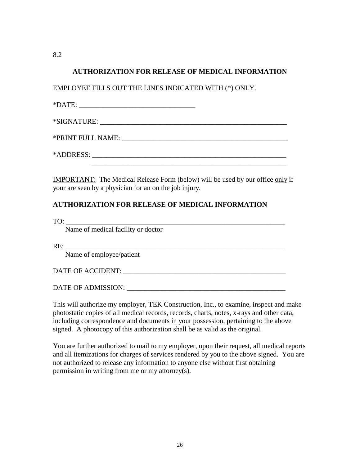8.2

#### **AUTHORIZATION FOR RELEASE OF MEDICAL INFORMATION**

EMPLOYEE FILLS OUT THE LINES INDICATED WITH (\*) ONLY.

 $*$  DATE:

 $*$ SIGNATURE:

\*PRINT FULL NAME: \_\_\_\_\_\_\_\_\_\_\_\_\_\_\_\_\_\_\_\_\_\_\_\_\_\_\_\_\_\_\_\_\_\_\_\_\_\_\_\_\_\_\_\_\_\_\_

\*ADDRESS: \_\_\_\_\_\_\_\_\_\_\_\_\_\_\_\_\_\_\_\_\_\_\_\_\_\_\_\_\_\_\_\_\_\_\_\_\_\_\_\_\_\_\_\_\_\_\_\_\_\_\_\_\_\_\_

IMPORTANT: The Medical Release Form (below) will be used by our office only if your are seen by a physician for an on the job injury.

# **AUTHORIZATION FOR RELEASE OF MEDICAL INFORMATION**

TO: \_\_\_\_\_\_\_\_\_\_\_\_\_\_\_\_\_\_\_\_\_\_\_\_\_\_\_\_\_\_\_\_\_\_\_\_\_\_\_\_\_\_\_\_\_\_\_\_\_\_\_\_\_\_\_\_\_\_\_\_\_\_

Name of medical facility or doctor

RE: \_\_\_\_\_\_\_\_\_\_\_\_\_\_\_\_\_\_\_\_\_\_\_\_\_\_\_\_\_\_\_\_\_\_\_\_\_\_\_\_\_\_\_\_\_\_\_\_\_\_\_\_\_\_\_\_\_\_\_\_\_\_

Name of employee/patient

DATE OF ACCIDENT: \_\_\_\_\_\_\_\_\_\_\_\_\_\_\_\_\_\_\_\_\_\_\_\_\_\_\_\_\_\_\_\_\_\_\_\_\_\_\_\_\_\_\_\_\_\_

DATE OF ADMISSION: \_\_\_\_\_\_\_\_\_\_\_\_\_\_\_\_\_\_\_\_\_\_\_\_\_\_\_\_\_\_\_\_\_\_\_\_\_\_\_\_\_\_\_\_\_

This will authorize my employer, TEK Construction, Inc., to examine, inspect and make photostatic copies of all medical records, records, charts, notes, x-rays and other data, including correspondence and documents in your possession, pertaining to the above signed. A photocopy of this authorization shall be as valid as the original.

You are further authorized to mail to my employer, upon their request, all medical reports and all itemizations for charges of services rendered by you to the above signed. You are not authorized to release any information to anyone else without first obtaining permission in writing from me or my attorney(s).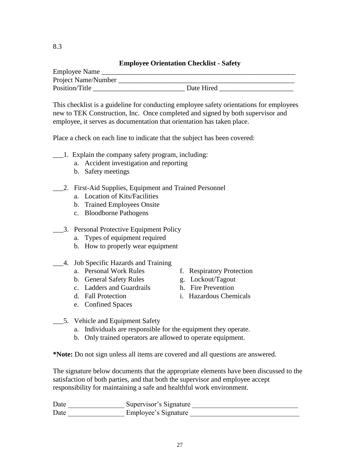# **Employee Orientation Checklist - Safety**

| Employee Name       |            |
|---------------------|------------|
| Project Name/Number |            |
| Position/Title      | Date Hired |

This checklist is a guideline for conducting employee safety orientations for employees new to TEK Construction, Inc. Once completed and signed by both supervisor and employee, it serves as documentation that orientation has taken place.

Place a check on each line to indicate that the subject has been covered:

- \_\_\_1. Explain the company safety program, including:
	- a. Accident investigation and reporting
	- b. Safety meetings
- \_\_\_2. First-Aid Supplies, Equipment and Trained Personnel
	- a. Location of Kits/Facilities
	- b. Trained Employees Onsite
	- c. Bloodborne Pathogens
- \_\_\_3. Personal Protective Equipment Policy
	- a. Types of equipment required
	- b. How to properly wear equipment
- \_\_\_4. Job Specific Hazards and Training
	-
	- b. General Safety Rules g. Lockout/Tagout
	- c. Ladders and Guardrails h. Fire Prevention
	-
	- e. Confined Spaces
	- a. Personal Work Rules f. Respiratory Protection
		-
		-
	- d. Fall Protection i. Hazardous Chemicals
- \_\_\_5. Vehicle and Equipment Safety
	- a. Individuals are responsible for the equipment they operate.
	- b. Only trained operators are allowed to operate equipment.

**\*Note:** Do not sign unless all items are covered and all questions are answered.

The signature below documents that the appropriate elements have been discussed to the satisfaction of both parties, and that both the supervisor and employee accept responsibility for maintaining a safe and healthful work environment.

Date <u>Supervisor's Signature</u> <u>Supervisor</u>'s Signature  $\frac{1}{2}$ Date \_\_\_\_\_\_\_\_\_\_\_\_\_\_\_\_\_\_\_ Employee's Signature \_\_\_\_\_\_\_\_\_\_\_\_\_\_\_\_\_\_\_\_\_\_\_\_\_\_\_\_\_\_\_\_\_\_

8.3

- 
- 
- 
-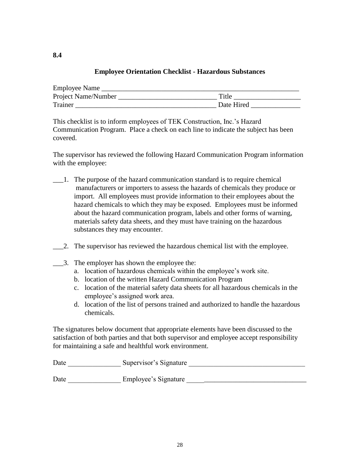# **Employee Orientation Checklist - Hazardous Substances**

| Employee Name       |            |
|---------------------|------------|
| Project Name/Number | Title      |
| Trainer             | Date Hired |

This checklist is to inform employees of TEK Construction, Inc."s Hazard Communication Program. Place a check on each line to indicate the subject has been covered.

The supervisor has reviewed the following Hazard Communication Program information with the employee:

- \_\_\_1. The purpose of the hazard communication standard is to require chemical manufacturers or importers to assess the hazards of chemicals they produce or import. All employees must provide information to their employees about the hazard chemicals to which they may be exposed. Employees must be informed about the hazard communication program, labels and other forms of warning, materials safety data sheets, and they must have training on the hazardous substances they may encounter.
- \_\_\_2. The supervisor has reviewed the hazardous chemical list with the employee.
- \_\_\_3. The employer has shown the employee the:

**8.4**

- a. location of hazardous chemicals within the employee"s work site.
- b. location of the written Hazard Communication Program
- c. location of the material safety data sheets for all hazardous chemicals in the employee's assigned work area.
- d. location of the list of persons trained and authorized to handle the hazardous chemicals.

The signatures below document that appropriate elements have been discussed to the satisfaction of both parties and that both supervisor and employee accept responsibility for maintaining a safe and healthful work environment.

| Date | Supervisor's Signature |
|------|------------------------|
|      |                        |
| Date | Employee's Signature   |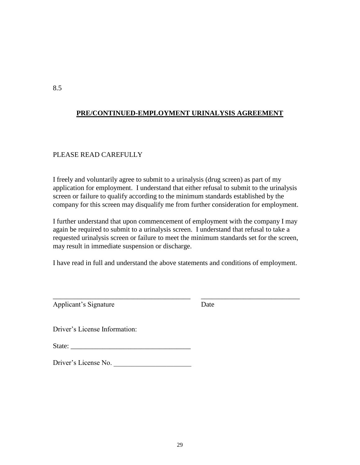# **PRE/CONTINUED-EMPLOYMENT URINALYSIS AGREEMENT**

# PLEASE READ CAREFULLY

I freely and voluntarily agree to submit to a urinalysis (drug screen) as part of my application for employment. I understand that either refusal to submit to the urinalysis screen or failure to qualify according to the minimum standards established by the company for this screen may disqualify me from further consideration for employment.

I further understand that upon commencement of employment with the company I may again be required to submit to a urinalysis screen. I understand that refusal to take a requested urinalysis screen or failure to meet the minimum standards set for the screen, may result in immediate suspension or discharge.

I have read in full and understand the above statements and conditions of employment.

\_\_\_\_\_\_\_\_\_\_\_\_\_\_\_\_\_\_\_\_\_\_\_\_\_\_\_\_\_\_\_\_\_\_\_\_\_\_\_ \_\_\_\_\_\_\_\_\_\_\_\_\_\_\_\_\_\_\_\_\_\_\_\_\_\_\_\_

Applicant's Signature Date

Driver"s License Information:

State:

Driver's License No.

8.5